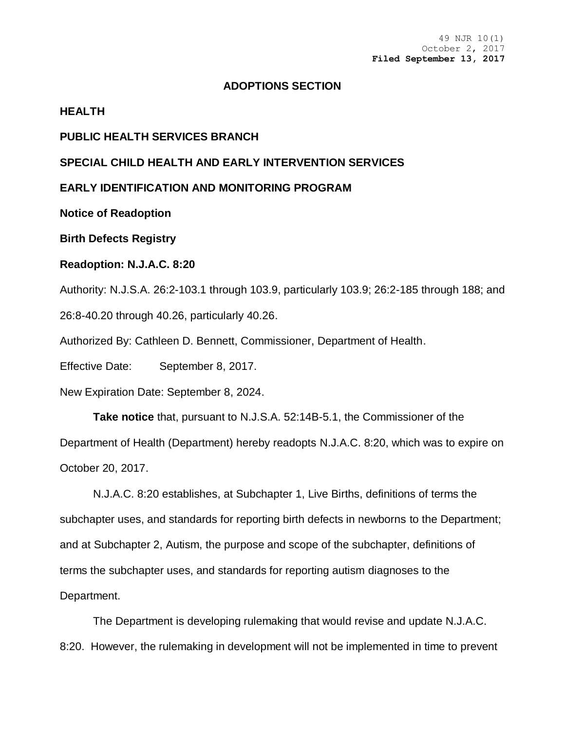## **ADOPTIONS SECTION**

#### **HEALTH**

## **PUBLIC HEALTH SERVICES BRANCH**

## **SPECIAL CHILD HEALTH AND EARLY INTERVENTION SERVICES**

## **EARLY IDENTIFICATION AND MONITORING PROGRAM**

**Notice of Readoption**

**Birth Defects Registry**

# **Readoption: N.J.A.C. 8:20**

Authority: N.J.S.A. 26:2-103.1 through 103.9, particularly 103.9; 26:2-185 through 188; and 26:8-40.20 through 40.26, particularly 40.26.

Authorized By: Cathleen D. Bennett, Commissioner, Department of Health.

Effective Date: September 8, 2017.

New Expiration Date: September 8, 2024.

**Take notice** that, pursuant to N.J.S.A. 52:14B-5.1, the Commissioner of the Department of Health (Department) hereby readopts N.J.A.C. 8:20, which was to expire on October 20, 2017.

N.J.A.C. 8:20 establishes, at Subchapter 1, Live Births, definitions of terms the subchapter uses, and standards for reporting birth defects in newborns to the Department; and at Subchapter 2, Autism, the purpose and scope of the subchapter, definitions of terms the subchapter uses, and standards for reporting autism diagnoses to the Department.

The Department is developing rulemaking that would revise and update N.J.A.C. 8:20. However, the rulemaking in development will not be implemented in time to prevent